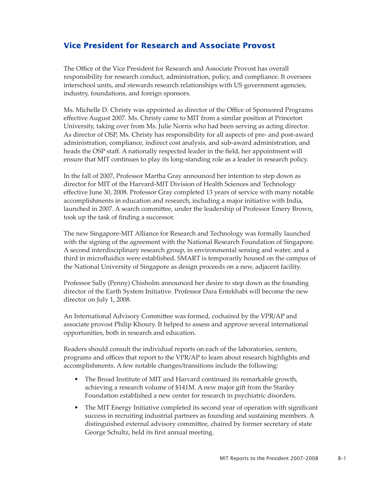## **Vice President for Research and Associate Provost**

The Office of the Vice President for Research and Associate Provost has overall responsibility for research conduct, administration, policy, and compliance. It oversees interschool units, and stewards research relationships with US government agencies, industry, foundations, and foreign sponsors.

Ms. Michelle D. Christy was appointed as director of the Office of Sponsored Programs effective August 2007. Ms. Christy came to MIT from a similar position at Princeton University, taking over from Ms. Julie Norris who had been serving as acting director. As director of OSP, Ms. Christy has responsibility for all aspects of pre- and post-award administration, compliance, indirect cost analysis, and sub-award administration, and heads the OSP staff. A nationally respected leader in the field, her appointment will ensure that MIT continues to play its long-standing role as a leader in research policy.

In the fall of 2007, Professor Martha Gray announced her intention to step down as director for MIT of the Harvard-MIT Division of Health Sciences and Technology effective June 30, 2008. Professor Gray completed 13 years of service with many notable accomplishments in education and research, including a major initiative with India, launched in 2007. A search committee, under the leadership of Professor Emery Brown, took up the task of finding a successor.

The new Singapore-MIT Alliance for Research and Technology was formally launched with the signing of the agreement with the National Research Foundation of Singapore. A second interdisciplinary research group, in environmental sensing and water, and a third in microfluidics were established. SMART is temporarily housed on the campus of the National University of Singapore as design proceeds on a new, adjacent facility.

Professor Sally (Penny) Chisholm announced her desire to step down as the founding director of the Earth System Initiative. Professor Dara Entekhabi will become the new director on July 1, 2008.

An International Advisory Committee was formed, cochaired by the VPR/AP and associate provost Philip Khoury. It helped to assess and approve several international opportunities, both in research and education.

Readers should consult the individual reports on each of the laboratories, centers, programs and offices that report to the VPR/AP to learn about research highlights and accomplishments. A few notable changes/transitions include the following:

- The Broad Institute of MIT and Harvard continued its remarkable growth, achieving a research volume of \$141M. A new major gift from the Stanley Foundation established a new center for research in psychiatric disorders.
- The MIT Energy Initiative completed its second year of operation with significant success in recruiting industrial partners as founding and sustaining members. A distinguished external advisory committee, chaired by former secretary of state George Schultz, held its first annual meeting.